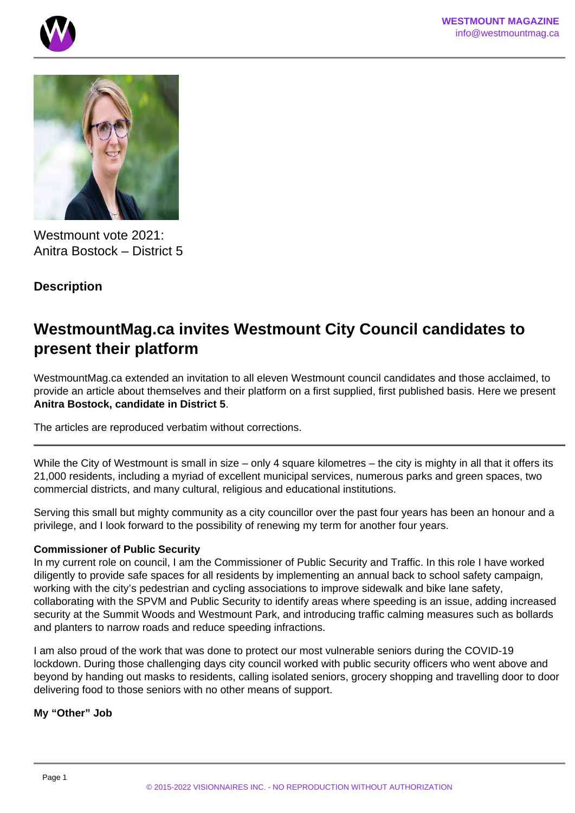



Westmount vote 2021: Anitra Bostock – District 5

# **Description**

# **WestmountMag.ca invites Westmount City Council candidates to present their platform**

WestmountMag.ca extended an invitation to all eleven Westmount council candidates and those acclaimed, to provide an article about themselves and their platform on a first supplied, first published basis. Here we present **Anitra Bostock, candidate in District 5**.

The articles are reproduced verbatim without corrections.

While the City of Westmount is small in size – only 4 square kilometres – the city is mighty in all that it offers its 21,000 residents, including a myriad of excellent municipal services, numerous parks and green spaces, two commercial districts, and many cultural, religious and educational institutions.

Serving this small but mighty community as a city councillor over the past four years has been an honour and a privilege, and I look forward to the possibility of renewing my term for another four years.

### **Commissioner of Public Security**

In my current role on council, I am the Commissioner of Public Security and Traffic. In this role I have worked diligently to provide safe spaces for all residents by implementing an annual back to school safety campaign, working with the city's pedestrian and cycling associations to improve sidewalk and bike lane safety, collaborating with the SPVM and Public Security to identify areas where speeding is an issue, adding increased security at the Summit Woods and Westmount Park, and introducing traffic calming measures such as bollards and planters to narrow roads and reduce speeding infractions.

I am also proud of the work that was done to protect our most vulnerable seniors during the COVID-19 lockdown. During those challenging days city council worked with public security officers who went above and beyond by handing out masks to residents, calling isolated seniors, grocery shopping and travelling door to door delivering food to those seniors with no other means of support.

**My "Other" Job**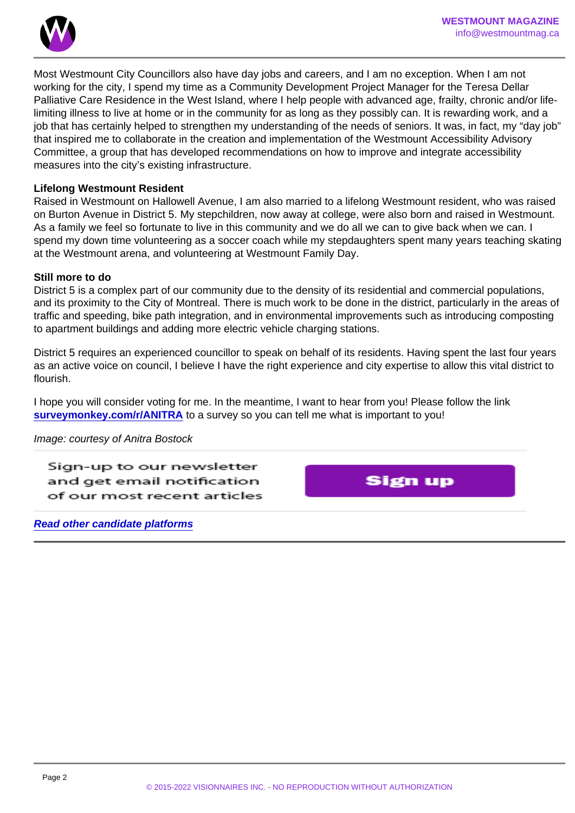Most Westmount City Councillors also have day jobs and careers, and I am no exception. When I am not working for the city, I spend my time as a Community Development Project Manager for the Teresa Dellar Palliative Care Residence in the West Island, where I help people with advanced age, frailty, chronic and/or lifelimiting illness to live at home or in the community for as long as they possibly can. It is rewarding work, and a job that has certainly helped to strengthen my understanding of the needs of seniors. It was, in fact, my "day job" that inspired me to collaborate in the creation and implementation of the Westmount Accessibility Advisory Committee, a group that has developed recommendations on how to improve and integrate accessibility measures into the city's existing infrastructure.

#### Lifelong Westmount Resident

Raised in Westmount on Hallowell Avenue, I am also married to a lifelong Westmount resident, who was raised on Burton Avenue in District 5. My stepchildren, now away at college, were also born and raised in Westmount. As a family we feel so fortunate to live in this community and we do all we can to give back when we can. I spend my down time volunteering as a soccer coach while my stepdaughters spent many years teaching skating at the Westmount arena, and volunteering at Westmount Family Day.

#### Still more to do

District 5 is a complex part of our community due to the density of its residential and commercial populations, and its proximity to the City of Montreal. There is much work to be done in the district, particularly in the areas of traffic and speeding, bike path integration, and in environmental improvements such as introducing composting to apartment buildings and adding more electric vehicle charging stations.

District 5 requires an experienced councillor to speak on behalf of its residents. Having spent the last four years as an active voice on council, I believe I have the right experience and city expertise to allow this vital district to flourish.

I hope you will consider voting for me. In the meantime, I want to hear from you! Please follow the link [surveymonkey.com/r/ANITRA](https://www.surveymonkey.com/r/ANITRA) to a survey so you can tell me what is important to you!

Image: courtesy of Anitra Bostock

Read other candidate platforms